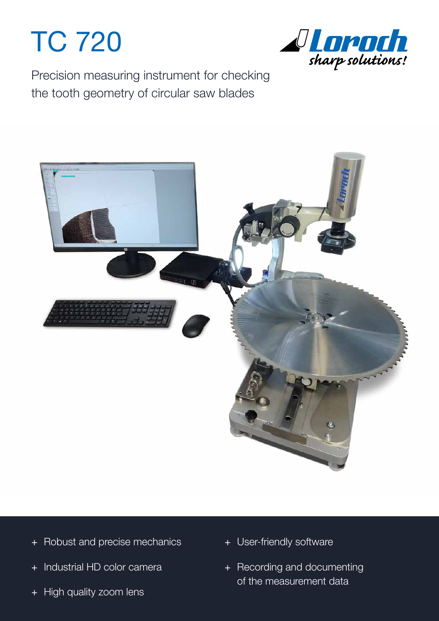## TC 720



Precision measuring instrument for checking the tooth geometry of circular saw blades



- + Robust and precise mechanics
- + Industrial HD color camera
- + High quality zoom lens
- + User-friendly software
- + Recording and documenting of the measurement data